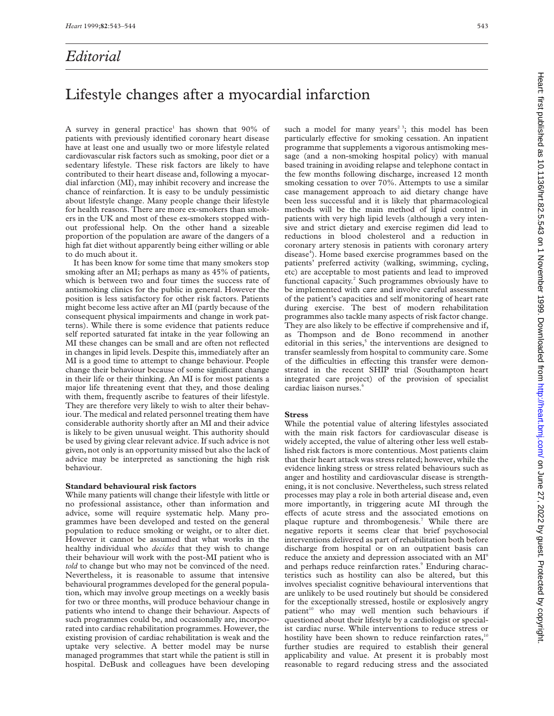## *Editorial*

# Lifestyle changes after a myocardial infarction

A survey in general practice<sup>1</sup> has shown that  $90\%$  of patients with previously identified coronary heart disease have at least one and usually two or more lifestyle related cardiovascular risk factors such as smoking, poor diet or a sedentary lifestyle. These risk factors are likely to have contributed to their heart disease and, following a myocardial infarction (MI), may inhibit recovery and increase the chance of reinfarction. It is easy to be unduly pessimistic about lifestyle change. Many people change their lifestyle for health reasons. There are more ex-smokers than smokers in the UK and most of these ex-smokers stopped without professional help. On the other hand a sizeable proportion of the population are aware of the dangers of a high fat diet without apparently being either willing or able to do much about it.

It has been know for some time that many smokers stop smoking after an MI; perhaps as many as 45% of patients, which is between two and four times the success rate of antismoking clinics for the public in general. However the position is less satisfactory for other risk factors. Patients might become less active after an MI (partly because of the consequent physical impairments and change in work patterns). While there is some evidence that patients reduce self reported saturated fat intake in the year following an MI these changes can be small and are often not reflected in changes in lipid levels. Despite this, immediately after an MI is a good time to attempt to change behaviour. People change their behaviour because of some significant change in their life or their thinking. An MI is for most patients a major life threatening event that they, and those dealing with them, frequently ascribe to features of their lifestyle. They are therefore very likely to wish to alter their behaviour. The medical and related personnel treating them have considerable authority shortly after an MI and their advice is likely to be given unusual weight. This authority should be used by giving clear relevant advice. If such advice is not given, not only is an opportunity missed but also the lack of advice may be interpreted as sanctioning the high risk behaviour.

### **Standard behavioural risk factors**

While many patients will change their lifestyle with little or no professional assistance, other than information and advice, some will require systematic help. Many programmes have been developed and tested on the general population to reduce smoking or weight, or to alter diet. However it cannot be assumed that what works in the healthy individual who *decides* that they wish to change their behaviour will work with the post-MI patient who is *told* to change but who may not be convinced of the need. Nevertheless, it is reasonable to assume that intensive behavioural programmes developed for the general population, which may involve group meetings on a weekly basis for two or three months, will produce behaviour change in patients who intend to change their behaviour. Aspects of such programmes could be, and occasionally are, incorporated into cardiac rehabilitation programmes. However, the existing provision of cardiac rehabilitation is weak and the uptake very selective. A better model may be nurse managed programmes that start while the patient is still in hospital. DeBusk and colleagues have been developing

such a model for many years<sup>23</sup>; this model has been particularly effective for smoking cessation. An inpatient programme that supplements a vigorous antismoking message (and a non-smoking hospital policy) with manual based training in avoiding relapse and telephone contact in the few months following discharge, increased 12 month smoking cessation to over 70%. Attempts to use a similar case management approach to aid dietary change have been less successful and it is likely that pharmacological methods will be the main method of lipid control in patients with very high lipid levels (although a very intensive and strict dietary and exercise regimen did lead to reductions in blood cholesterol and a reduction in coronary artery stenosis in patients with coronary artery disease<sup>4</sup>). Home based exercise programmes based on the patients' preferred activity (walking, swimming, cycling, etc) are acceptable to most patients and lead to improved functional capacity.<sup>2</sup> Such programmes obviously have to be implemented with care and involve careful assessment of the patient's capacities and self monitoring of heart rate during exercise. The best of modern rehabilitation programmes also tackle many aspects of risk factor change. They are also likely to be effective if comprehensive and if, as Thompson and de Bono recommend in another editorial in this series,<sup>5</sup> the interventions are designed to transfer seamlessly from hospital to community care. Some of the difficulties in effecting this transfer were demonstrated in the recent SHIP trial (Southampton heart integrated care project) of the provision of specialist cardiac liaison nurses.<sup>6</sup>

#### **Stress**

While the potential value of altering lifestyles associated with the main risk factors for cardiovascular disease is widely accepted, the value of altering other less well established risk factors is more contentious. Most patients claim that their heart attack was stress related; however, while the evidence linking stress or stress related behaviours such as anger and hostility and cardiovascular disease is strengthening, it is not conclusive. Nevertheless, such stress related processes may play a role in both arterial disease and, even more importantly, in triggering acute MI through the effects of acute stress and the associated emotions on plaque rupture and thrombogenesis.<sup>7</sup> While there are negative reports it seems clear that brief psychosocial interventions delivered as part of rehabilitation both before discharge from hospital or on an outpatient basis can reduce the anxiety and depression associated with an MI<sup>8</sup> and perhaps reduce reinfarction rates.<sup>9</sup> Enduring characteristics such as hostility can also be altered, but this involves specialist cognitive behavioural interventions that are unlikely to be used routinely but should be considered for the exceptionally stressed, hostile or explosively angry patient<sup>10</sup> who may well mention such behaviours if questioned about their lifestyle by a cardiologist or specialist cardiac nurse. While interventions to reduce stress or hostility have been shown to reduce reinfarction rates, $10$ further studies are required to establish their general applicability and value. At present it is probably most reasonable to regard reducing stress and the associated